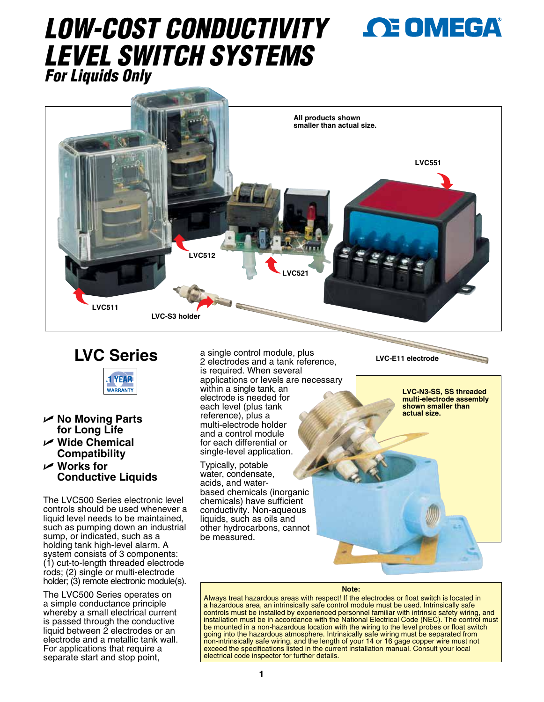# *LOW-COST CONDUCTIVITY LEVEL SWITCH SYSTEMS For Liquids Only*



## **LVC Series**



- U **No Moving Parts for Long Life**
- U **Wide Chemical Compatibility**
- U **Works for Conductive Liquids**

The LVC500 Series electronic level controls should be used whenever a liquid level needs to be maintained, such as pumping down an industrial sump, or indicated, such as a holding tank high-level alarm. A system consists of 3 components: (1) cut-to-length threaded electrode rods; (2) single or multi-electrode holder; (3) remote electronic module(s).

The LVC500 Series operates on a simple conductance principle whereby a small electrical current is passed through the conductive liquid between 2 electrodes or an electrode and a metallic tank wall. For applications that require a separate start and stop point,

a single control module, plus 2 electrodes and a tank reference, is required. When several applications or levels are necessary within a single tank, an electrode is needed for each level (plus tank reference), plus a multi-electrode holder and a control module for each differential or single-level application.

Typically, potable water, condensate, acids, and waterbased chemicals (inorganic chemicals) have sufficient conductivity. Non-aqueous liquids, such as oils and other hydrocarbons, cannot be measured.

**LVC-E11 electrode**

**LVC-N3-SS, SS threaded multi-electrode assembly shown smaller than actual size.**

#### **Note:**

Always treat hazardous areas with respect! If the electrodes or float switch is located in a hazardous area, an intrinsically safe control module must be used. Intrinsically safe controls must be installed by experienced personnel familiar with intrinsic safety wiring, and installation must be in accordance with the National Electrical Code (NEC). The control must be mounted in a non-hazardous location with the wiring to the level probes or float switch going into the hazardous atmosphere. Intrinsically safe wiring must be separated from non-intrinsically safe wiring, and the length of your 14 or 16 gage copper wire must not exceed the specifications listed in the current installation manual. Consult your local electrical code inspector for further details.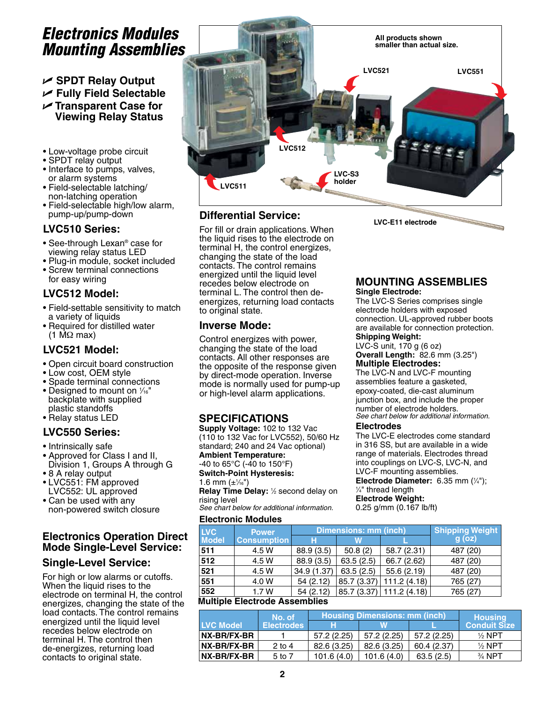## *Electronics Modules Mounting Assemblies*

U **SPDT Relay Output** U **Fully Field Selectable** U **Transparent Case for Viewing Relay Status**

- Low-voltage probe circuit
- SPDT relay output
- Interface to pumps, valves, or alarm systems
- Field-selectable latching/ non-latching operation
- Field-selectable high/low alarm, pump-up/pump-down

## **LVC510 Series:**

- See-through Lexan® case for viewing relay status LED
- Plug-in module, socket included • Screw terminal connections for easy wiring

## **LVC512 Model:**

- Field-settable sensitivity to match a variety of liquids
- Required for distilled water (1 MΩ max)

## **LVC521 Model:**

- Open circuit board construction
- Low cost, OEM style
- Spade terminal connections
- Designed to mount on  $\frac{1}{16}$ " backplate with supplied plastic standoffs
- Relay status LED

## **LVC550 Series:**

- Intrinsically safe
- Approved for Class I and II, Division 1, Groups A through G
- 8 A relay output
- LVC551: FM approved LVC552: UL approved
- Can be used with any non-powered switch closure

## **Electronics Operation Direct Mode Single-Level Service:**

## **Single-Level Service:**

For high or low alarms or cutoffs. When the liquid rises to the electrode on terminal H, the control energizes, changing the state of the load contacts. The control remains energized until the liquid level recedes below electrode on terminal H. The control then de-energizes, returning load contacts to original state.



## **Differential Service:**

For fill or drain applications. When the liquid rises to the electrode on terminal H, the control energizes, changing the state of the load contacts. The control remains energized until the liquid level recedes below electrode on terminal L. The control then deenergizes, returning load contacts to original state.

## **Inverse Mode:**

Control energizes with power, changing the state of the load contacts. All other responses are the opposite of the response given by direct-mode operation. Inverse mode is normally used for pump-up or high-level alarm applications.

## **SPECIFICATIONS**

**Supply Voltage:** 102 to 132 Vac (110 to 132 Vac for LVC552), 50/60 Hz standard; 240 and 24 Vac optional) **Ambient Temperature:**  -40 to 65°C (-40 to 150°F)

**Switch-Point Hysteresis:** 1.6 mm  $(\pm\frac{1}{16})$ Relay Time Delay: 1/2 second delay on

rising level *See chart below for additional information.*

#### **Electronic Modules**

**LVC-E11 electrode**

## **MOUNTING ASSEMBLIES**

#### **Single Electrode:**

The LVC-S Series comprises single electrode holders with exposed connection. UL-approved rubber boots are available for connection protection. **Shipping Weight:** 

LVC-S unit, 170 g (6 oz) **Overall Length:** 82.6 mm (3.25") **Multiple Electrodes:**

The LVC-N and LVC-F mounting assemblies feature a gasketed, epoxy-coated, die-cast aluminum junction box, and include the proper number of electrode holders. *See chart below for additional information.*

#### **Electrodes**

The LVC-E electrodes come standard in 316 SS, but are available in a wide range of materials. Electrodes thread into couplings on LVC-S, LVC-N, and LVC-F mounting assemblies.

**Electrode Diameter:** 6.35 mm (¼");<br>¼" thread length ⁄4" thread length

#### **Electrode Weight:**

0.25 g/mm (0.167 lb/ft)

| <b>LVC</b>                    | <b>Power</b>       |             | Dimensions: mm (inch) | <b>Shipping Weight</b> |          |  |
|-------------------------------|--------------------|-------------|-----------------------|------------------------|----------|--|
| <b>Model</b>                  | <b>Consumption</b> | н           | W                     |                        | $g$ (oz) |  |
| 511                           | 4.5 W              | 88.9 (3.5)  | 50.8(2)               | 58.7 (2.31)            | 487 (20) |  |
| 512                           | 4.5 W              | 88.9 (3.5)  | 63.5(2.5)             | 66.7 (2.62)            | 487 (20) |  |
| 521                           | 4.5 W              | 34.9 (1.37) | 63.5(2.5)             | 55.6 (2.19)            | 487 (20) |  |
| 551                           | 4.0 W              | 54(2.12)    | 85.7 (3.37)           | 111.2(4.18)            | 765 (27) |  |
| 552                           | 1.7W               | 54(2.12)    |                       | 85.7(3.37) 111.2(4.18) | 765 (27) |  |
| Aultinla Elaatrada Aanamhlian |                    |             |                       |                        |          |  |

#### **Multiple Electrode Assemblies**

|                    | No. of            | <b>Housing Dimensions: mm (inch)</b> | <b>Housing</b> |            |                     |
|--------------------|-------------------|--------------------------------------|----------------|------------|---------------------|
| <b>LVC Model</b>   | <b>Electrodes</b> | н                                    | W              |            | <b>Conduit Size</b> |
| <b>NX-BR/FX-BR</b> |                   | 57.2 (2.25)                          | 57.2(2.25)     | 57.2(2.25) | $\frac{1}{2}$ NPT   |
| <b>NX-BR/FX-BR</b> | $2$ to 4          | 82.6 (3.25)                          | 82.6 (3.25)    | 60.4(2.37) | $\frac{1}{2}$ NPT   |
| <b>NX-BR/FX-BR</b> | 5 to 7            | 101.6(4.0)                           | 101.6(4.0)     | 63.5(2.5)  | $\frac{3}{4}$ NPT   |